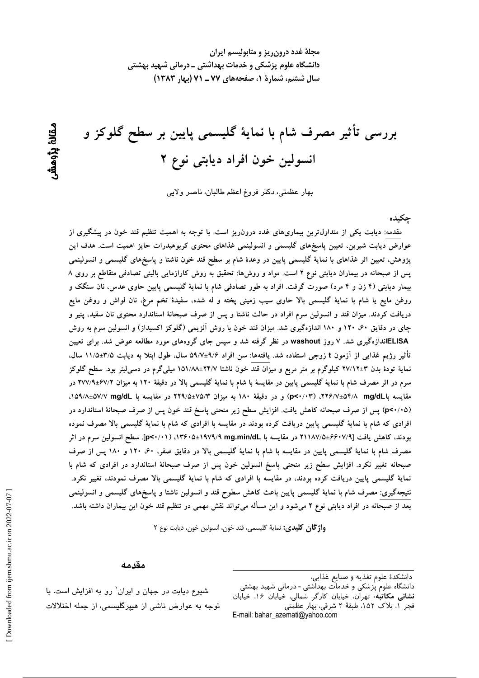مجلهٔ غدد درون ریز و متابولیسم ایران دانشگاه علوم پزشکی و خدمات بهداشتی ــ درمانی شهید بهشتی سال ششم، شمارة 1، صفحههای ۷۷ ـ ۷۱ (بهار ۱۳۸۳)

بررسی تأثیر مصرف شام با نمایهٔ گلیسمی پایین بر سطح گلوکز و انسولین خون افراد دیابتی نوع ۲

بهار عظمتي، دكتر فروغ اعظم طالبان، ناصر ولايي

جكىدە

مقدمه: دیابت یکی از متداول ترین بیماریهای غدد درون٫یز است. با توجه به اهمیت تنظیم قند خون در پیشگیری از عوارض دیابت شیرین، تعیین پاسخهای گلیسمی و انسولینمی غذاهای محتوی کربوهیدرات حایز اهمیت است. هدف این پژوهش، تعیین اثر غذاهای با نمایهٔ گلیسمی پایین در وعدهٔ شام بر سطح قند خون ناشتا و پاسخهای گلیسمی و انسولینمی پس از صبحانه در بیماران دیابتی نوع ۲ است. مواد و روشها: تحقیق به روش کارازمایی بالینی تصادفی متقاطع بر روی ۸ بیمار دیابتی (۴ زن و ۴ مرد) صورت گرفت. افراد به طور تصادفی شام با نمایهٔ گلیسمی پایین حاوی عدس، نان سنگک و روغن مایع یا شام با نمایهٔ گلیسمی بالا حاوی سیب زمینی پخته و له شده، سفیدهٔ تخم مرغ، نان لواش و روغن مایع دریافت کردند. میزان قند و انسولین سرم افراد در حالت ناشتا و پس از صرف صبحانهٔ استاندارد محتوی نان سفید، پنیر و چای در دقایق ۶۰، ۱۲۰ و ۱۸۰ اندازهگیری شد. میزان قند خون با روش آنزیمی (گلوکز اکسیداز) و انسولین سرم به روش ELISAاندازهگیری شد. ۷ روز washout در نظر گرفته شد و سپس جای گروههای مورد مطالعه عوض شد. برای تعیین تأثیر رژیم غذایی از آزمون t زوجی استفاده شد. یافتهها: سن افراد ۹/۶±۵۹/۷ سال، طول ابتلا به دیابت ۳/۵±۱۱/۵ سال، نمایهٔ تودهٔ بدن ۳±۲۷/۱۲ کیلوگرم بر متر مربع و میزان قند خون ناشتا ۲۴/۷±۱۵۱/۸۸ میلیگرم در دسمیلیتر بود. سطح گلوکز سرم در اثر مصرف شام با نمایهٔ گلیسمی پایین در مقایسهٔ با شام با نمایهٔ گلیسمی بالا در دقیقهٔ ۱۲۰ به میزان ۶۷/۹±۶۷/۹ در مقایسه باسل ۴/۸/۴۵۴/۸ mg/dL ) و در دقیقهٔ ۱۸۰ به میزان ۷۵/۴-۲۹/۵ در مقایسه با ۵۷/۲-۵۷/۸±۵۷/۸، (p<۰/۰۵) پس از صرف صبحانه کاهش یافت. افزایش سطح زیر منحنی پاسخ قند خون پس از صرف صبحانهٔ استاندارد در افرادی که شام با نمایهٔ گلیسمی پایین دریافت کرده بودند در مقایسه با افرادی که شام با نمایهٔ گلیسمی بالا مصرف نموده بودند، كاهش يافت [4/٧/٤٤-٧١١٨٧هـ در مقايسه با ١٩٧٩/٩ mg.min/dLهـ١٣۶٠هـ (١٣۶٠-٥). سطح انسولين سرم در اثر مصرف شام با نمایهٔ گلیسمی پایین در مقایسه با شام با نمایهٔ گلیسمی بالا در دقایق صفر، ۶۰، ۱۲۰ و ۱۸۰ پس از صرف صبحانه تغییر نکرد. افزایش سطح زیر منحنی پاسخ انسولین خون پس از صرف صبحانهٔ استاندارد در افرادی که شام با نمایهٔ گلیسمی پایین دریافت کرده بودند، در مقایسه با افرادی که شام با نمایهٔ گلیسمی بالا مصرف نمودند، تغییر نکرد. نتیجهگیری: مصرف شام با نمایهٔ گلیسمی پایین باعث کاهش سطوح قند و انسولین ناشتا و پاسخهای گلیسمی و انسولینمی بعد از صبحانه در افراد دیابتی نوع ۲ میشود و این مسأله میتواند نقش مهمی در تنظیم قند خون این بیماران داشته باشد.

واژگان كليدي: نمايهٔ گليسمي، قند خون، انسولين خون، ديابت نوع ٢

#### مقدمه

دانشگاه علوم <sub>ب</sub>زشکی و خدمات بهداشتی - درمانی شهید بهشتی<br>**دانشگاه علوم** پزشکی و خدمات بهداشتی - درمانی شهید بهشتی فجر ١، بلاک ١٥٢، طبقة ٢ شرقي، بهار عظمتي E-mail: bahar\_azemati@yahoo.com

شیوع دیابت در جهان و ایران' رو به افزایش است. با توجه به عوارض ناشی از هیپرگلیسمی، از جمله اختلالات

ىقانۇ يۆھش

دانشكدهٔ علوم تغذیه و صنایع غذایی،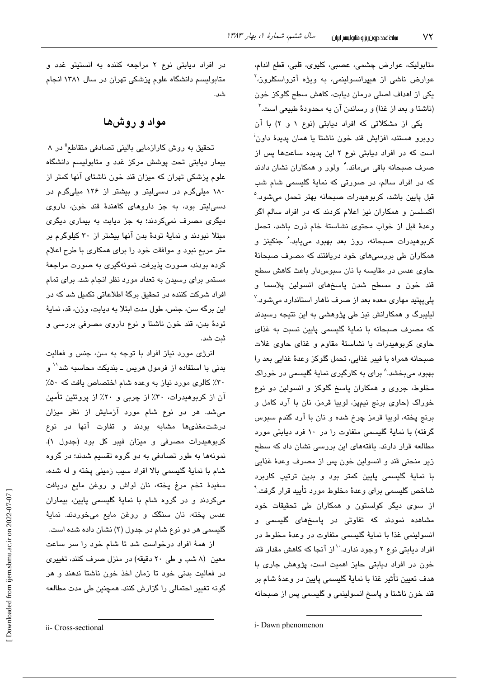متابولیک، عوارض چشمی، عصبی، کلیوی، قلبی، قطع اندام، عوارض ناشی از هیپرانسولینمی، به ویژه آترواسکلروز،<sup>۲</sup> یکی از اهداف اصلی درمان دیابت، کاهش سطح گلوکز خون (ناشتا و بعد از غذا) و رساندن آن به محدودهٔ طبیعی است.<sup>۳</sup>

یکی از مشکلاتی که افراد دیابتی (نوع ۱ و ۲) با آن روبرو هستند، افزایش قند خون ناشتا یا همان پدیدهٔ داون<sup>:</sup> است که در افراد دیابتی نوع ۲ این پدیده ساعتها پس از صرف صبحانه باقی میماند. ٔ ولور و همکاران نشان دادند که در افراد سالم، در صورتی که نمایهٔ گلیسمی شام شب قبل پايين باشد، کربوهيدرات صبحانه بهتر تحمل میشود.<sup>۵</sup> اکسلسن و همکاران نیز اعلام کردند که در افراد سالم اگر وعدهٔ قبل از خواب محتوى نشاستهٔ خام ذرت باشد، تحمل کربوهیدرات صبحانه، روز بعد بهبود می<u>پ</u>ابد. *ٔ* جنکینز و همکاران طی بررسیهای خود دریافتند که مصرف صبحانهٔ حاوی عدس در مقایسه با نان سبوسدار باعث کاهش سطح قند خون و مسطح شدن پاسخهای انسولین پلاسما و پلیپیتید مهاری معده بعد از صرف ناهار استاندارد میشود.<sup>۷</sup> لیلیبرگ و همکارانش نیز طی پژوهشی به این نتیجه رسیدند كه مصرف صبحانه با نماية گليسمى پايين نسبت به غذاى حاوی کربوهیدرات با نشاستهٔ مقاوم و غذای حاوی غلات صبحانه همراه يا فيبر غذايي، تحمل گلوكز وعدهٔ غذايي بعد را بهبود میبخشد.^ برای به کارگیری نمایهٔ گلیسمی در خوراک مخلوط، جروی و همکاران پاسخ گلوکز و انسولین دو نوع خوراک (حاوی برنج نیمپز، لوبیا قرمز، نان با آرد کامل و برنج پخته، لوبيا قرمز چرخ شده و نان با آرد گندم سبوس گرفته) با نمایهٔ گلیسمی متفاوت را در ۱۰ فرد دیابتی مورد مطالعه قرار دارند. یافتههای این بررسی نشان داد که سطح زير منحني قند و انسولين خون پس از مصرف وعدهٔ غذايي با نمایهٔ گلیسمی پایین کمتر بود و بدین ترتیب کاربرد شاخص گلیسمی برای وعدهٔ مخلوط مورد تأیید قرار گرفت.<sup>۹</sup> از سوی دیگر کولستون و همکاران طی تحقیقات خود مشاهده نمودند که تفاوتی در پاسخهای گلیسمی و انسولینمی غذا با نمایهٔ گلیسمی متفاوت در وعدهٔ مخلوط در افراد دیابتی نوع ۲ وجود ندارد.<sup>۱۰</sup>از آنجا که کاهش مقدار قند خون در افراد دیابتی حایز اهمیت است، پژوهش جاری با هدف تعیین تأثیر غذا با نمایهٔ گلیسمی پایین در وعدهٔ شام بر قند خون ناشتا و پاسخ انسولینمی و گلیسمی پس از صبحانه

در افراد دیابتی نوع ۲ مراجعه کننده به انستیتو غدد و متابولیسم دانشگاه علوم پزشکی تهران در سال ۱۳۸۱ انجام شد.

## مواد و روشها

تحقیق به روش کارازمایی بالینی تصادفی متقاطع<sup>ة</sup> در ۸ بیمار دیابتی تحت پوشش مرکز غدد و متابولیسم دانشگاه علوم پزشکی تهران که میزان قند خون ناشتای آنها کمتر از ۱۸۰ میلیگرم در دسیلیتر و بیشتر از ۱۲۶ میلیگرم در دسی!یتر بود، به جز داروهای کاهندهٔ قند خون، داروی دیگری مصرف نمیکردند؛ به جز دیابت به بیماری دیگری مبتلا نبودند و نمایهٔ تودهٔ بدن آنها بیشتر از ۳۰ کیلوگرم بر متر مربع نبود و موافقت خود را برای همکاری با طرح اعلام كرده بودند، صورت پذیرفت. نمونهگیری به صورت مراجعهٔ مستمر برای رسیدن به تعداد مورد نظر انجام شد. برای تمام افراد شرکت کننده در تحقیق برگهٔ اطلاعاتی تکمیل شد که در این برگه سن، جنس، طول مدت ابتلا به دیابت، وزن، قد، نمایهٔ تودهٔ بدن، قند خون ناشتا و نوع داروی مصرفی بررسی و ثىت شد.

انرژی مورد نیاز افراد با توجه به سن، جنس و فعالیت بدنی با استفاده از فرمول هریس ــ بندیکت محاسبه شد<sup>۱٬</sup> و ۳۰٪ کالری مورد نیاز به وعده شام اختصاص یافت که ۵۰٪ آن از کربوهیدرات، ۳۰٪ از چربی و ۲۰٪ از پروتئین تأمین می شد. هر دو نوع شام مورد آزمایش از نظر میزان درشت مغذی ها مشابه بودند و تفاوت آنها در نوع كربوهيدرات مصرفى و ميزان فيبر كل بود (جدول ١). نمونهها به طور تصادفی به دو گروه تقسیم شدند؛ در گروه شام با نمايهٔ گلیسمی بالا افراد سبب زمینی پخته و له شده، سفيدةً تخم مرغٍ يِخته، نان لواش و روغن مايع دريافت میکردند و در گروه شام با نمایهٔ گلیسمی پایین، بیماران عدس يخته، نان سنگک و روغن مايع میخوردند. نمايۀ گلیسمی هر دو نوع شام در جدول (۲) نشان داده شده است.

از همهٔ افراد درخواست شد تا شام خود را سر ساعت معین (۸ شب و طی ۲۰ دقیقه) در منزل صرف کنند، تغییری در فعالیت بدنی خود تا زمان اخذ خون ناشتا ندهند و هر گونه تغییر احتمالی را گزارش کنند. همچنین طی مدت مطالعه

i- Dawn phenomenon

ii- Cross-sectional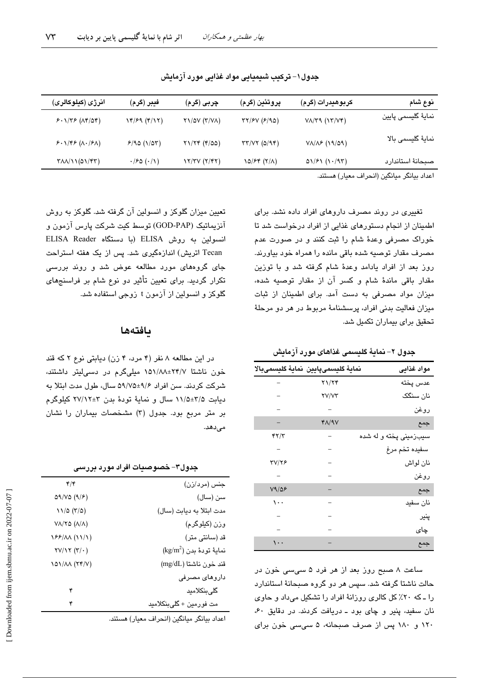| نوع شام                                                                                                                           | كربوهيدرات (گرم)             | پروتئين (گرم)             | چربی (گرم)                | فيبر (گرم)                    | انرژی (کیلوکالری)                                         |
|-----------------------------------------------------------------------------------------------------------------------------------|------------------------------|---------------------------|---------------------------|-------------------------------|-----------------------------------------------------------|
| نمايۀ گليسمى پايين                                                                                                                | $V_A/Y$ ۹ $(VY/V)$           | TY/fV (F/90)              | $Y1/\Delta V (Y/VA)$      | 14/59 (4/17)                  | $5.1/75 (AF/\Delta f)$                                    |
| نماية گليسمى بالا                                                                                                                 | $V\Lambda/\Lambda$ ۶ (19/09) | $\tau\tau/\nu\tau$ (0/94) | $Y1/Yf (f/\Delta \Delta)$ | 9/90(1/07)                    | 5.1795 (A.79A)                                            |
| صبحانة استاندارد                                                                                                                  | $01/F1$ $(1.47)$             | 10/۶۴ (۲/۸)               | Y/YY(Y Y)                 | $\cdot$ /۶۵ $(\cdot/\Lambda)$ | $T\Lambda\Lambda/\Lambda(\Delta\Lambda/\Upsilon\Upsilon)$ |
| $\mathbf{1}$ $\mathbf{1}$ $\mathbf{1}$ $\mathbf{1}$ $\mathbf{2}$ $\mathbf{1}$ $\mathbf{2}$ $\mathbf{1}$ $\mathbf{1}$ $\mathbf{1}$ |                              |                           |                           |                               |                                                           |

جدول ۱– ترکیب شیمیایی مواد غذایی مورد آزمایش

اعداد بيانگر ميانگين (انحراف معيار) هستند.

تغییری در روند مصرف داروهای افراد داده نشد. برای اطمینان از انجام دستورهای غذایی از افراد درخواست شد تا خوراک مصرفی وعدهٔ شام را ثبت کنند و در صورت عدم مصرف مقدار توصيه شده باقی مانده را همراه خود بياورند. روز بعد از افراد یادامد وعدهٔ شام گرفته شد و با توزین مقدار باقی ماندهٔ شام و کسر آن از مقدار توصیه شده، میزان مواد مصرفی به دست آمد. برای اطمینان از ثبات میزان فعالیت بدنی افراد، پرسشنامهٔ مربوط در هر دو مرحلهٔ تحقیق برای بیماران تکمیل شد.

جدول ٢– نمايةً گليسمى غذاهاى مورد آزمايش

|              | نماية كليسمىپايين نماية كليسمىبالا | مواد غذايى             |
|--------------|------------------------------------|------------------------|
|              | ۲۱/۲۴                              | عدس پخته               |
|              | <b>TV/VT</b>                       | نان سنگک               |
|              |                                    | روغن                   |
|              | $Y\Lambda$ /9 $V$                  | جمع                    |
| ۴۲/۳         |                                    | سیبزمینی پخته و له شده |
|              |                                    | سفيده تخم مرغ          |
| <b>TV/78</b> |                                    | نان لواش               |
|              |                                    | روغن                   |
| V9/28        |                                    | جمع                    |
| $\cdots$     |                                    | نان سفيد               |
|              |                                    | پنیر                   |
|              |                                    | چای                    |
|              |                                    | جمع                    |

ساعت ۸ صبح روز بعد از هر فرد ۵ سی سی خون در حالت ناشتا گرفته شد. سپس هر دو گروه صبحانهٔ استاندارد را ـ که ۲۰٪ کل کالری روزانهٔ افراد را تشکیل میداد و حاوی نان سفيد، پنير و چای بود ـ دريافت کردند. در دقايق ۶۰، ۱۲۰ و ۱۸۰ پس از صرف صبحانه، ۵ سی سی خون برای

تعیین میزان گلوکز و انسولین آن گرفته شد. گلوکز به روش آنزیماتیک (GOD-PAP) توسط کیت شرکت پارس آزمون و انسولین به روش ELISA (با دستگاه ELISA Reader Tecan اتریش) اندازهگیری شد. پس از یک هفته استراحت جای گروههای مورد مطالعه عوض شد و روند بررسی تکرار گردید. برای تعیین تأثیر دو نوع شام بر فراسنجهای گلوکز و انسولین از آزمون t زوجی استفاده شد.

### بافتهها

در این مطالعه ۸ نفر (۴ مرد، ۴ زن) دیابتی نوع ۲ که قند خون ناشتا ۲۴/۷±۱۵۱/۸۸ میلیگرم در دسیلیتر داشتند، شرکت کردند. سن افراد ۹/۶±۵۹/۷۵ سال، طول مدت ابتلا به دیابت ۲/۵±۱/۱۵ سال و نمایهٔ تودهٔ بدن ۳±۲۷/۱۲ کیلوگرم بر متر مربع بود. جدول (٣) مشخصات بیماران را نشان مى دهد.

| جدول۳– خصوصیات افراد مورد بررسے |  |  |
|---------------------------------|--|--|
|---------------------------------|--|--|

| $\mathfrak{r}/\mathfrak{r}$            | جنس (مرد/زن)                       |
|----------------------------------------|------------------------------------|
| 09/VO (9/5)                            | سن (سال)                           |
| 11/0 (r/0)                             | مدت ابتلا به ديابت (سال)           |
| $V\Lambda/Y$ ۵ ( $\Lambda/\Lambda$ )   | وزن (کیلوگرم)                      |
| 188/11 (11/1)                          | قد (سانتی متر)                     |
| $\Upsilon V/\Upsilon (\Upsilon/\cdot)$ | $\text{(kg/m}^2)$ نمايهٔ تودهٔ بدن |
| 101/11 (TY/V)                          | قند خون ناشتا (mg/dL)              |
|                                        | داروهای مصرفی                      |
| ۴                                      | گلىبنكلاميد                        |
| ۴                                      | مت فورمين + گليېنکلاميد            |
|                                        |                                    |

اعداد بيانگر ميانگين (انحراف معيار) هستند.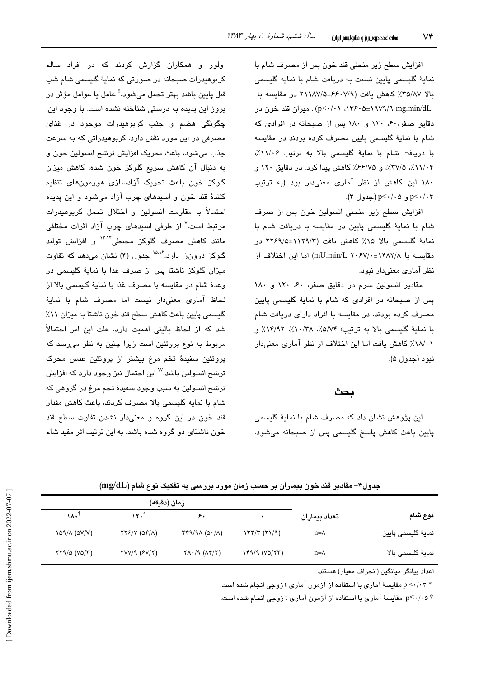افزایش سطح زیر منحنی قند خون پس از مصرف شام با نماية گليسمي پايين نسبت به دريافت شام با نماية گليسمي بالا ٣٥/٨٧٪ كاهش يافت (٧/٩-۶۶٠٧هـ ٢١١٨٧/٥ در مقايسه با n۳۶۰۵±۱۹۷۹/۹ mg.min/dL) . میزان قند خون در دقایق صفر، ۶۰، ۱۲۰ و ۱۸۰ پس از صبحانه در افرادی که شام با نمايهٔ گلیسمی پایین مصرف کرده بودند در مقایسه با دریافت شام با نمایهٔ گلیسمی بالا به ترتیب ١١/٠۶٪، ۰٬۲۷/۰۴٪ ۲۷/۵٪، و ۶۶/۷۵٪ کاهش پیدا کرد. در دقایق ۱۲۰ و ١٨٠ اين كاهش از نظر آمارى معنى دار بود (به ترتيب p<٠/٠٣ و p<٠/٠٥ (جدول ۴).

افزایش سطح زیر منحنی انسولین خون پس از صرف شام با نمایهٔ گلیسمی پایین در مقایسه با دریافت شام با نماية گليسمى بالا ١۵٪ كاهش يافت (١١٢٩/٥±٢٢۶٩/٥ در مقايسه با \mU.min/L ۲۰۶۷/۰±۱۴۸۲/۸) اما اين اختلاف از نظر آماری معنیدار نبود.

مقادیر انسولین سرم در دقایق صفر، ۴۰، ۱۲۰ و ۱۸۰ یس از صبحانه در افرادی که شام با نمایهٔ گلیسمی پایین مصرف کرده بودند، در مقایسه با افراد دارای دریافت شام با نماية گليسمي بالا به ترتيب؛ ٥/٧۴٪، ١٣/٩٢٪، ١٣/٩٢٪ و ٠١٨/٠٪ كاهش يافت اما اين اختلاف از نظر آماري معنى دار نيو د (حدول ۵).

#### بحث

این پژوهش نشان داد که مصرف شام با نمایهٔ گلیسمی پایین باعث کاهش پاسخ گلیسمی پس از صبحانه میشود.

ولور و همکاران گزارش کردند که در افراد سالم کربوهیدرات صبحانه در صورتی که نمایهٔ گلیسمی شام شب قبل پايين باشد بهتر تحمل مي شود.<sup>۵</sup> عامل يا عوامل مؤثر در بروز این پدیده به درستی شناخته نشده است. با وجود این، چگونگی هضم و جذب کربوهیدرات موجود در غذای مصرفی در این مورد نقش دارد. کربوهیدراتی که به سرعت جذب میشود، باعث تحریک افزایش ترشح انسولین خون و به دنبال آن کاهش سریع گلوکز خون شده، کاهش میزان گلوکز خون باعث تحریک آزادسازی هورمونهای تنظیم کنندهٔ قند خون و اسیدهای چرب آزاد میشود و این پدیده احتمالاً با مقاومت انسولین و اختلال تحمل کربوهیدرات مرتبط است.<sup>۷</sup> از طرفی اسید*ه*ای چرب آزاد اثرات مختلفی .<br>مانند کاهش مصرف گلوکز محیطی<sup>۱۳،۱۴</sup> و افزایش تولید گلوکز درونزا دارد.<sup>۱۵،۱۶</sup> جدول (۴) نشان میدهد که تفاوت میزان گلوکز ناشتا پس از صرف غذا یا نمایهٔ گلسیمی در وعدة شام در مقايسه با مصرف غذا با نماية گليسمي بالا از لحاظ آماری معنیدار نیست اما مصرف شام با نمایهٔ گلسیمی پایین باعث کاهش سطح قند خون ناشتا به میزان ۱۱٪ شد که از لحاظ بالینی اهمیت دارد. علت این امر احتمالاً مربوط به نوع پروتئین است زیرا چنین به نظر میرسد که پروتئین سفیدهٔ تخم مرغ بیشتر از پروتئین عدس محرک ترشح انسولین باشد.<sup>۷۰</sup> این احتمال نیز وجود دارد که افزایش ترشح انسولین به سبب وجود سفیدهٔ تخم مرغ در گروهی که شام با نمایه گلیسمی بالا مصرف کردند، باعث کاهش مقدار قند خون در این گروه و معنیدار نشدن تفاوت سطح قند خون ناشتای دو گروه شده باشد. به این ترتیب اثر مفید شام

| جدول۴– مقادیر قند خون بیماران بر حسب زمان مورد بررسی به تغکیک نوع شام (mg/dL) |  |  |  |  |  |
|-------------------------------------------------------------------------------|--|--|--|--|--|
|-------------------------------------------------------------------------------|--|--|--|--|--|

|                    |               | زمان (دقيقه)                   |                                                |                                                        |                                             |  |  |
|--------------------|---------------|--------------------------------|------------------------------------------------|--------------------------------------------------------|---------------------------------------------|--|--|
| نوع شام            | تعداد بيماران |                                | ۶,                                             | " ۱۲۰                                                  | ١٨٠                                         |  |  |
| نمايۀ گليسمى پايين | $n = \Lambda$ | $\frac{1}{\sqrt{2}}$           | $\gamma$ $(0.1)$                               | $\gamma \gamma$ / $\gamma$ ( $\delta \gamma/\Lambda$ ) | 109/A (DV/V)                                |  |  |
| نمايۀ گليسمى بالا  | $n = \wedge$  | $Y^{\alpha}/9 (V^{\alpha}/77)$ | $Y\Lambda$ $($ $\Lambda$ $\gamma$ $\gamma$ $)$ | $\text{YVV}$ ( $\text{FV}$ / $\text{Y}$ )              | $\gamma \gamma \land (\gamma \land \gamma)$ |  |  |

اعداد بيانگر مبانگين (انجراف معيار) هستند.

\* p <-/·۳ مقایسهٔ آماری با استفاده از آزمون آماری t زوجی انجام شده است.

† p<٠/٠۵ مقایسهٔ آماری با استفاده از آزمون آماری t زوجی انجام شده است.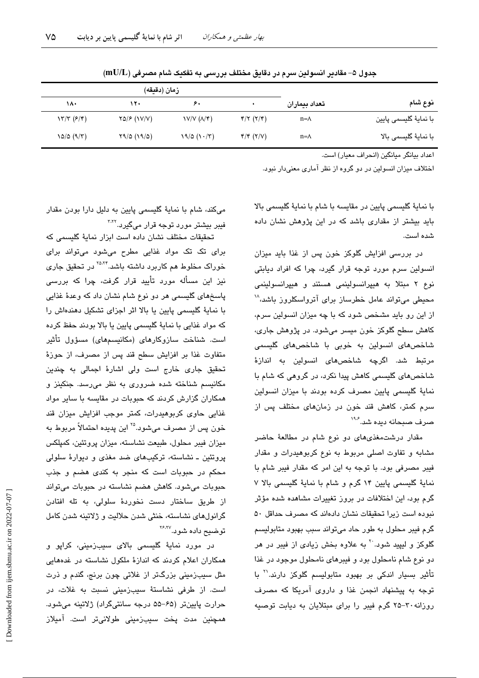|                       |               | زمان (دقيقه)                                                |                |             |                                       |  |  |
|-----------------------|---------------|-------------------------------------------------------------|----------------|-------------|---------------------------------------|--|--|
| نوع شام               | تعداد بيماران |                                                             | ۶,             | ۱۲۰         | ۱۸۰                                   |  |  |
| با نمايۀ گليسمى پايين | $n = \Lambda$ | $\mathfrak{r}/\mathfrak{r}$ ( $\mathfrak{r}/\mathfrak{r}$ ) | V/V (A/F)      | YQ/F (VV/V) | $\gamma \gamma (\epsilon / \epsilon)$ |  |  |
| با نمايۀ گليسمى بالا  | $n = \wedge$  | $\mathfrak{r}/\mathfrak{r}$ ( $\mathfrak{r}/\mathfrak{v}$ ) | $19/0$ $(1.7)$ | Y9/0 (19/0) | 10/0 (9/7)                            |  |  |

جدول ۵– مقادیر انسولین سرم در دقایق مختلف بررسی به تفکیک شام مصرفی (mU/L)

اعداد بيانگر ميانگين (انحراف معيار) است.

اختلاف میزان انسولین در دو گروه از نظر آماری معنیدار نبود.

با نمايهٔ گلیسمی پایین در مقایسه با شام با نمایهٔ گلیسمی بالا باید بیشتر از مقداری باشد که در این پژوهش نشان داده شده است.

در بررسی افزایش گلوکز خون پس از غذا باید میزان انسولین سرم مورد توجه قرار گیرد، چرا که افراد دیابتی نوع ۲ مبتلا به هیپرانسولینمی هستند و هیپرانسولینمی محیطی میتواند عامل خطرساز برای آترواسکلروز باشد، ۱ از این رو باید مشخص شود که با چه میزان انسولین سرم، کاهش سطح گلوکز خون میسر میشود. در پژوهش جاری، شاخصهای انسولین به خوبی با شاخصهای گلیسمی مرتبط شد. اگرچه شاخصهای انسولین به اندازهٔ شاخصهای گلیسمی کاهش پیدا نکرد، در گروهی که شام با نمایهٔ گلیسمی پایین مصرف کرده بودند با میزان انسولین سرم کمتر، کاهش قند خون در زمانهای مختلف پس از صرف صبحانه دبده شد. ۱۹۰

مقدار درشتمغذیهای دو نوع شام در مطالعهٔ حاضر مشابه و تفاوت اصلی مربوط به نوع کربوهیدرات و مقدار فیبر مصرفی بود. با توجه به این امر که مقدار فیبر شام با نماية گليسمي پايين ١۴ گرم و شام با نماية گليسمي بالا ٧ گرم بود، این اختلافات در بروز تغییرات مشاهده شده مؤثر نبوده است زیرا تحقیقات نشان دادهاند که مصرف حداقل ۵۰ گرم فیبر محلول به طور حاد میتواند سبب بهبود متابولیسم گلوکز و لیپید شود.<sup>۲۰</sup> به علاوه بخش زیا*دی* از فیبر در هر دو نوع شام نامحلول بود و فیبرهای نامحلول موجود در غذا تأثیر بسیار اندکی بر بهبود متابولیسم گلوکز دارند.<sup>۲۱</sup> با توجه به پیشنهاد انجمن غذا و داروی آمریکا که مصرف روزانه ۳۰-۲۵ گرم فیبر را برای مبتلایان به دیابت توصیه

میکند، شام با نمایهٔ گلیسمی پایین به دلیل دارا بودن مقدار فیبر بیشتر مورد توجه قرار میگیرد.<sup>۳٬۲</sup>

تحقیقات مختلف نشان داده است ایزار نمایهٔ گلسیمی که برای تک تک مواد غذایی مطرح میشود میتواند برای خوراک مخلوط هم کاربرد داشته باشد.<sup>۲۵،۲۴</sup> در تحقیق جار*ی* نیز این مسأله مورد تأیید قرار گرفت، چرا که بررسی پاسخهای گلیسمی هر دو نوع شام نشان داد که وعدهٔ غذایی با نمایهٔ گلیسمی پایین یا بالا اثر اجزای تشکیل دهندهاش را که مواد غذایی با نمایهٔ گلیسمی پایین یا بالا بودند حفظ کرده است. شناخت سازوکارهای (مکانیسمهای) مسؤول تأثیر متفاوت غذا بر افزايش سطح قند پس از مصرف، از حوزهٔ تحقیق جاری خارج است ولی اشارهٔ اجمالی به چندین مکانیسم شناخته شده ضروری به نظر میرسد. جنکینز و همکاران گزارش کردند که حبوبات در مقایسه با سایر مواد غذایی حاوی کربوهیدرات، کمتر موجب افزایش میزان قند خون پس از مصرف میشود.<sup>۲۵</sup> این پدیده احتمالاً مربوط به میزان فیبر محلول، طبیعت نشاسته، میزان پروتئین، کمپلکس پروتئین ـ نشاسته، ترکیبهای ضد مغذی و دیوارهٔ سلولی محکم در حبوبات است که منجر به کندی هضم و جذب حبوبات میشود. کاهش هضم نشاسته در حبوبات میتواند از طریق ساختار دست نخوردهٔ سلولی، به تله افتادن گرانولهای نشاسته، خنثی شدن حلالیت و ژلاتینه شدن کامل توضيح داده شو.د.<sup>۲۶٬۲۷</sup>

در مورد نمایهٔ گلیسمی بالای سیبزمینی، کراپو و همکاران اعلام کردند که اندازهٔ ملکول نشاسته در غدههایی مثل سیبزمینی بزرگتر از غلاتی چون برنج، گندم و ذرت است. از طرفی نشاستهٔ سیبزمینی نسبت به غلات، در حرارت پايينتر (۶۵–۵۵ درجه سانتيگراد) ژلاتينه مي شود. همچنین مدت پخت سیبزمینی طولانیتر است. آمیلاز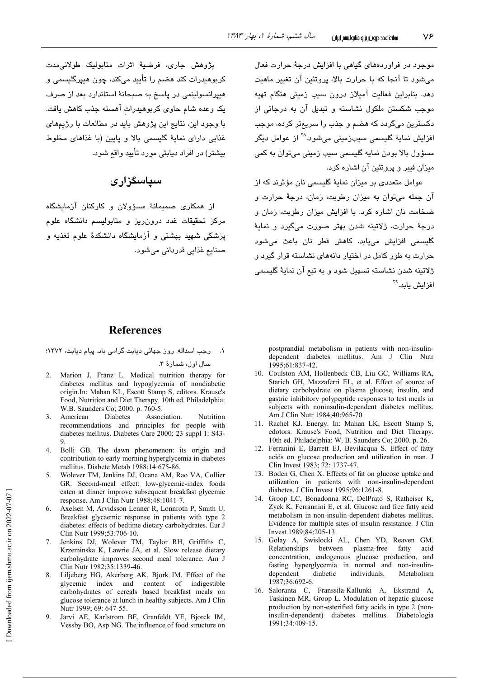موجود در فراوردههای گیاهی با افزایش درجهٔ حرارت فعال می شود تا آنجا که یا جرارت بالا، پروتئین آن تغییر ماهیت دهد. بنابراین فعالیت آمیلاز درون سیب زمینی هنگام تهیه موجب شکستن ملکول نشاسته و تبدیل آن به درجاتی از دکسترین میگردد که هضم و جذب را سریعتر کرده، موجب افزايش نمايهٔ گلي*سمی* سيبزمينی میشود.<sup>۲۸</sup> از عوامل ديگر مسؤول بالا بودن نمايه گليسمي سيب زميني مي،توان به كمي میزان فیبر و پروتئین آن اشاره کرد.

عوامل متعددی پر میزان نمایهٔ گلسیمی نان مؤثرند که از آن جمله می توان به میزان رطوبت، زمان، درجهٔ حرارت و ضخامت نان اشاره کرد. با افزایش میزان رطوبت، زمان و درجهٔ حرارت، ژلاتینه شدن بهتر صورت میگیرد و نمایهٔ گلیسمی افزایش می،یابد. کاهش قطر نان باعث می شود جرارت به طور کامل در اختیار دانههای نشاسته قرار گیرد و ژلاتینه شدن نشاسته تسهیل شود و به تیع آن نمایهٔ گلیسمی افزایش پاید.<sup>۲۹</sup>

يژوهش جاري، فرضيهٔ اثرات متابوليک طولانىمدت کربوهیدرات کند هضم را تأیید میکند، چون هیپرگلیسمی و هیپرانسولینمی در پاسخ به صبحانهٔ استاندارد بعد از صرف یک وعده شام حاوی کربوهیدرات آهسته جذب کاهش یافت. با وجود این، نتایج این پژوهش باید در مطالعات با رژیمهای غذایی دارای نمایهٔ گلیسمی بالا و پایین (با غذاهای مخلوط بیشتر) در افراد دیابتی مورد تأیید واقع شود.

# سیاسگزاری

از همکاری صمیمانهٔ مسؤولان و کارکنان آزمایشگاه .<br>مرکز تحقیقات غدد درون٫ریز و متابولیسم دانشگاه علوم .<br>پزشکی شهید بهشتی و آزمایشگاه دانشکدهٔ علوم تغذیه و صنائع غذائے، قدردانی مے شورد.

## **References**

١. \_ رحِب اسداله. روز جهاني ديابت گرامي باد. پيام ديابت، ١٣٧٢؛

سال اول، شمارهٔ ۳.

- 2. Marion J, Franz L. Medical nutrition therapy for diabetes mellitus and hypoglycemia of nondiabetic origin.In: Mahan KL, Escott Stamp S, editors. Krause's Food, Nutrition and Diet Therapy. 10th ed. Philadelphia: W.B. Saunders Co; 2000. p. 760-5.
- $\mathcal{E}$ American **Diabetes** Association. Nutrition recommendations and principles for people with diabetes mellitus. Diabetes Care 2000; 23 suppl 1: S43-
- Bolli GB. The dawn phenomenon: its origin and  $\overline{4}$ contribution to early morning hyperglycemia in diabetes mellitus. Diabete Metab 1988;14:675-86.
- Wolever TM, Jenkins DJ, Ocana AM, Rao VA, Collier  $\sim$ GR. Second-meal effect: low-glycemic-index foods eaten at dinner improve subsequent breakfast glycemic response. Am J Clin Nutr 1988;48:1041-7.
- Axelsen M, Arvidsson Lenner R, Lonnroth P, Smith U. Breakfast glycaemic response in patients with type 2 diabetes: effects of bedtime dietary carbohydrates. Eur J Clin Nutr 1999;53:706-10.
- Jenkins DJ, Wolever TM, Taylor RH, Griffiths C,  $7.$ Krzeminska K, Lawrie JA, et al. Slow release dietary carbohydrate improves second meal tolerance. Am J Clin Nutr 1982;35:1339-46.
- 8. Liljeberg HG, Akerberg AK, Bjork IM. Effect of the glycemic index and content of indigestible carbohydrates of cereals based breakfast meals on glucose tolerance at lunch in healthy subjects. Am J Clin Nutr 1999; 69: 647-55.
- 9. Jarvi AE, Karlstrom BE, Granfeldt YE, Bjorck IM, Vessby BO, Asp NG. The influence of food structure on

postprandial metabolism in patients with non-insulindependent diabetes mellitus. Am J Clin Nutr 1995;61:837-42.

- 10. Coulston AM, Hollenbeck CB, Liu GC, Williams RA, Starich GH, Mazzaferri EL, et al. Effect of source of dietary carbohydrate on plasma glucose, insulin, and gastric inhibitory polypeptide responses to test meals in subjects with noninsulin-dependent diabetes mellitus. Am J Clin Nutr 1984;40:965-70.
- 11. Rachel KJ. Energy. In: Mahan LK, Escott Stamp S, edotors. Krause's Food. Nutrition and Diet Therapy. 10th ed. Philadelphia: W. B. Saunders Co; 2000. p. 26.
- 12. Ferranini E, Barrett EJ, Bevilacqua S. Effect of fatty acids on glucose production and utilization in man. J Clin Invest 1983; 72: 1737-47.
- 13. Boden G, Chen X. Effects of fat on glucose uptake and utilization in patients with non-insulin-dependent diabetes. J Clin Invest 1995;96:1261-8.
- 14. Groop LC, Bonadonna RC, DelPrato S, Ratheiser K, Zyck K, Ferrannini E, et al. Glucose and free fatty acid metabolism in non-insulin-dependent diabetes mellitus. Evidence for multiple sites of insulin resistance. J Clin Invest 1989;84:205-13.
- 15. Golay A, Swislocki AL, Chen YD, Reaven GM. Relationships between plasma-free fatty acid concentration, endogenous glucose production, and fasting hyperglycemia in normal and non-insulindependent diabetic individuals. Metabolism 1987;36:692-6.
- 16. Saloranta C, Franssila-Kallunki A, Ekstrand A, Taskinen MR, Groop L. Modulation of hepatic glucose production by non-esterified fatty acids in type 2 (noninsulin-dependent) diabetes mellitus. Diabetologia 1991;34:409-15.